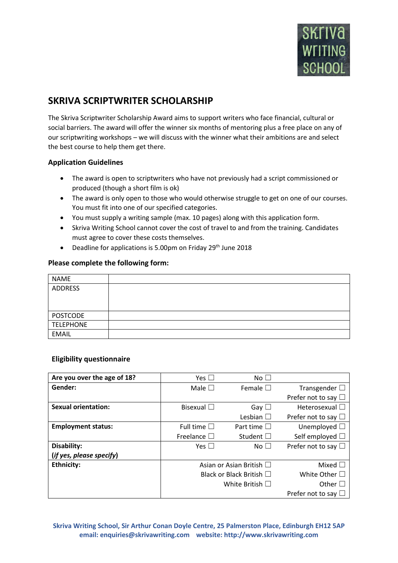

## **SKRIVA SCRIPTWRITER SCHOLARSHIP**

The Skriva Scriptwriter Scholarship Award aims to support writers who face financial, cultural or social barriers. The award will offer the winner six months of mentoring plus a free place on any of our scriptwriting workshops – we will discuss with the winner what their ambitions are and select the best course to help them get there.

## **Application Guidelines**

- The award is open to scriptwriters who have not previously had a script commissioned or produced (though a short film is ok)
- The award is only open to those who would otherwise struggle to get on one of our courses. You must fit into one of our specified categories.
- You must supply a writing sample (max. 10 pages) along with this application form.
- Skriva Writing School cannot cover the cost of travel to and from the training. Candidates must agree to cover these costs themselves.
- Deadline for applications is 5.00pm on Friday 29<sup>th</sup> June 2018

## **Please complete the following form:**

| <b>NAME</b>      |  |
|------------------|--|
| ADDRESS          |  |
|                  |  |
|                  |  |
| <b>POSTCODE</b>  |  |
| <b>TELEPHONE</b> |  |
| <b>EMAIL</b>     |  |

## **Eligibility questionnaire**

| Are you over the age of 18? | Yes $\Box$                    | $No \Box$           |                             |
|-----------------------------|-------------------------------|---------------------|-----------------------------|
| Gender:                     | Male $\square$                | Female $\square$    | Transgender $\square$       |
|                             |                               |                     | Prefer not to say $\square$ |
| <b>Sexual orientation:</b>  | Bisexual $\square$            | Gay $\square$       | Heterosexual $\Box$         |
|                             |                               | Lesbian $\square$   | Prefer not to say $\Box$    |
| <b>Employment status:</b>   | Full time $\square$           | Part time $\square$ | Unemployed $\square$        |
|                             | Freelance $\square$           | Student $\square$   | Self employed $\Box$        |
| Disability:                 | Yes $\Box$                    | No <sub>1</sub>     | Prefer not to say $\square$ |
| (if yes, please specify)    |                               |                     |                             |
| <b>Ethnicity:</b>           | Asian or Asian British □      |                     | Mixed $\Box$                |
|                             | Black or Black British $\Box$ |                     | White Other $\Box$          |
|                             | White British $\Box$          |                     | Other $\square$             |
|                             |                               |                     | Prefer not to say $\Box$    |

**Skriva Writing School, Sir Arthur Conan Doyle Centre, 25 Palmerston Place, Edinburgh EH12 5AP email: enquiries@skrivawriting.com website: http://www.skrivawriting.com**